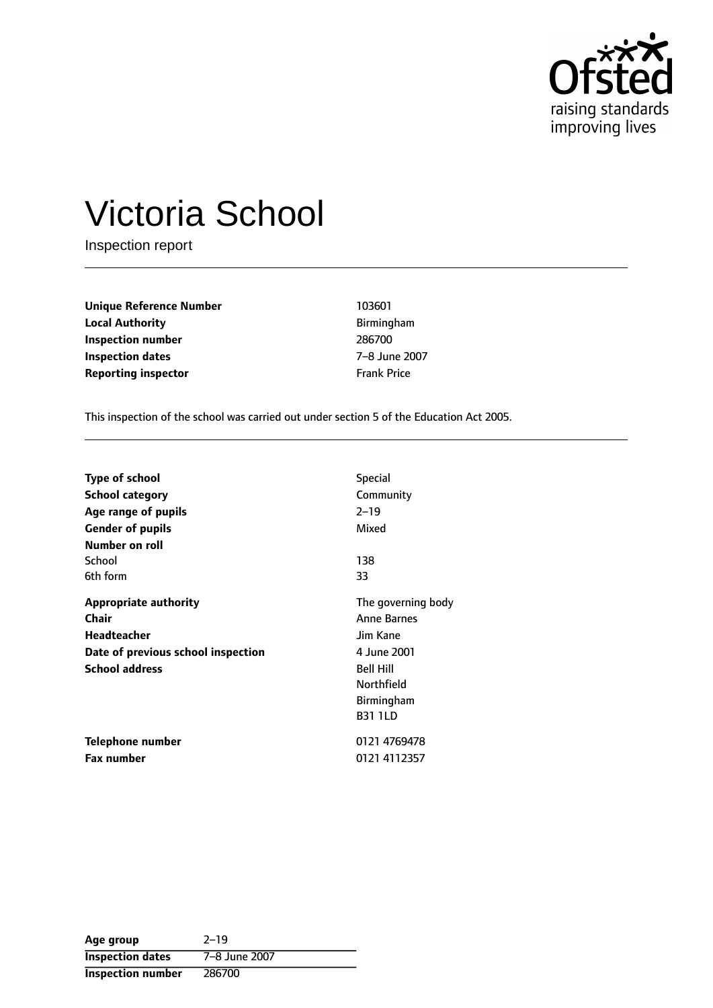

# Victoria School

Inspection report

**Unique Reference Number** 103601 **Local Authority Birmingham Inspection number** 286700 **Inspection dates** 7-8 June 2007 **Reporting inspector** Frank Price

This inspection of the school was carried out under section 5 of the Education Act 2005.

| <b>Type of school</b>              | <b>Special</b>     |
|------------------------------------|--------------------|
| <b>School category</b>             | Community          |
| Age range of pupils                | $2 - 19$           |
| <b>Gender of pupils</b>            | Mixed              |
| Number on roll                     |                    |
| School                             | 138                |
| 6th form                           | 33                 |
| <b>Appropriate authority</b>       | The governing body |
| Chair                              | <b>Anne Barnes</b> |
| <b>Headteacher</b>                 | Jim Kane           |
| Date of previous school inspection | 4 June 2001        |
| <b>School address</b>              | <b>Bell Hill</b>   |
|                                    | <b>Northfield</b>  |
|                                    | <b>Birmingham</b>  |
|                                    | <b>B31 1LD</b>     |
| Telephone number                   | 0121 4769478       |
| <b>Fax number</b>                  | 0121 4112357       |

| Age group                | $2 - 19$      |
|--------------------------|---------------|
| <b>Inspection dates</b>  | 7-8 June 2007 |
| <b>Inspection number</b> | 286700        |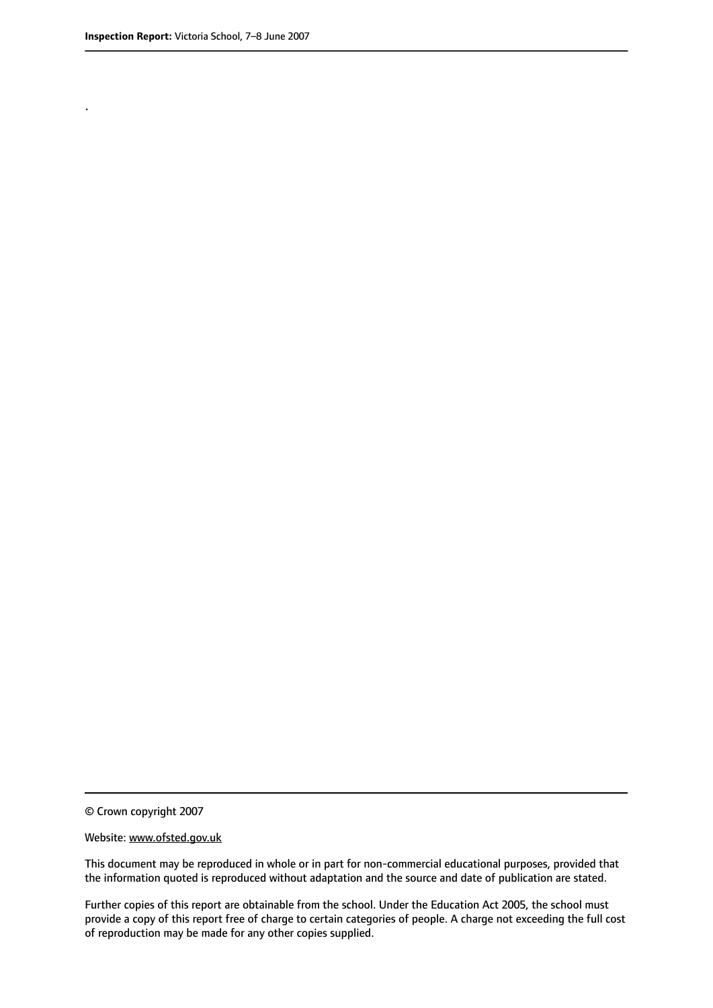.

© Crown copyright 2007

#### Website: www.ofsted.gov.uk

This document may be reproduced in whole or in part for non-commercial educational purposes, provided that the information quoted is reproduced without adaptation and the source and date of publication are stated.

Further copies of this report are obtainable from the school. Under the Education Act 2005, the school must provide a copy of this report free of charge to certain categories of people. A charge not exceeding the full cost of reproduction may be made for any other copies supplied.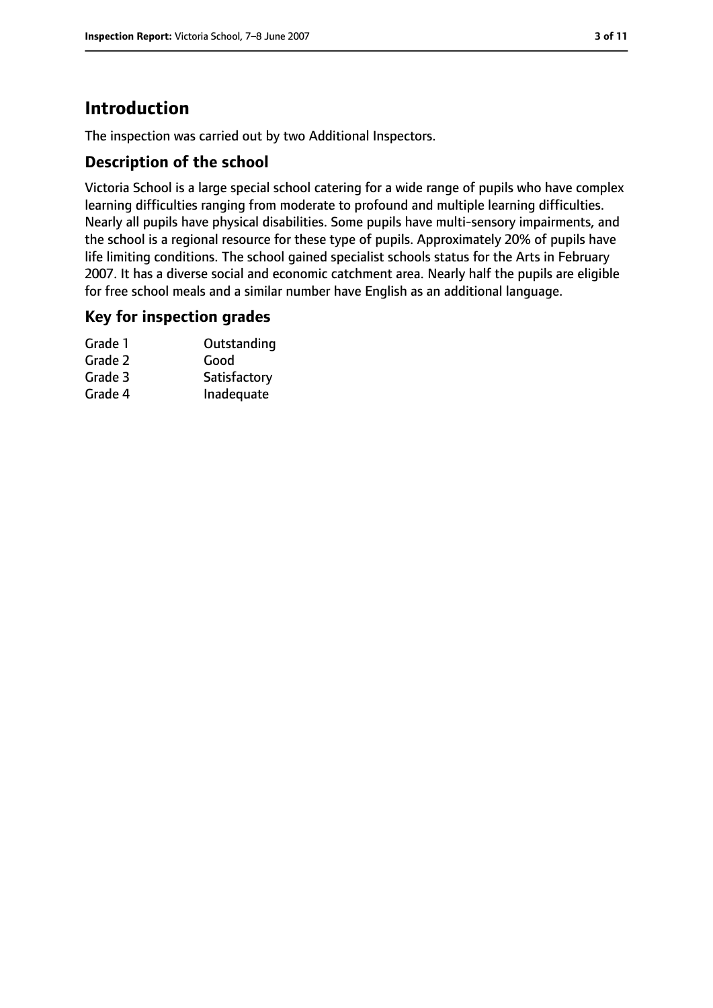# **Introduction**

The inspection was carried out by two Additional Inspectors.

### **Description of the school**

Victoria School is a large special school catering for a wide range of pupils who have complex learning difficulties ranging from moderate to profound and multiple learning difficulties. Nearly all pupils have physical disabilities. Some pupils have multi-sensory impairments, and the school is a regional resource for these type of pupils. Approximately 20% of pupils have life limiting conditions. The school gained specialist schools status for the Arts in February 2007. It has a diverse social and economic catchment area. Nearly half the pupils are eligible for free school meals and a similar number have English as an additional language.

### **Key for inspection grades**

| Grade 1 | Outstanding  |
|---------|--------------|
| Grade 2 | Good         |
| Grade 3 | Satisfactory |
| Grade 4 | Inadequate   |
|         |              |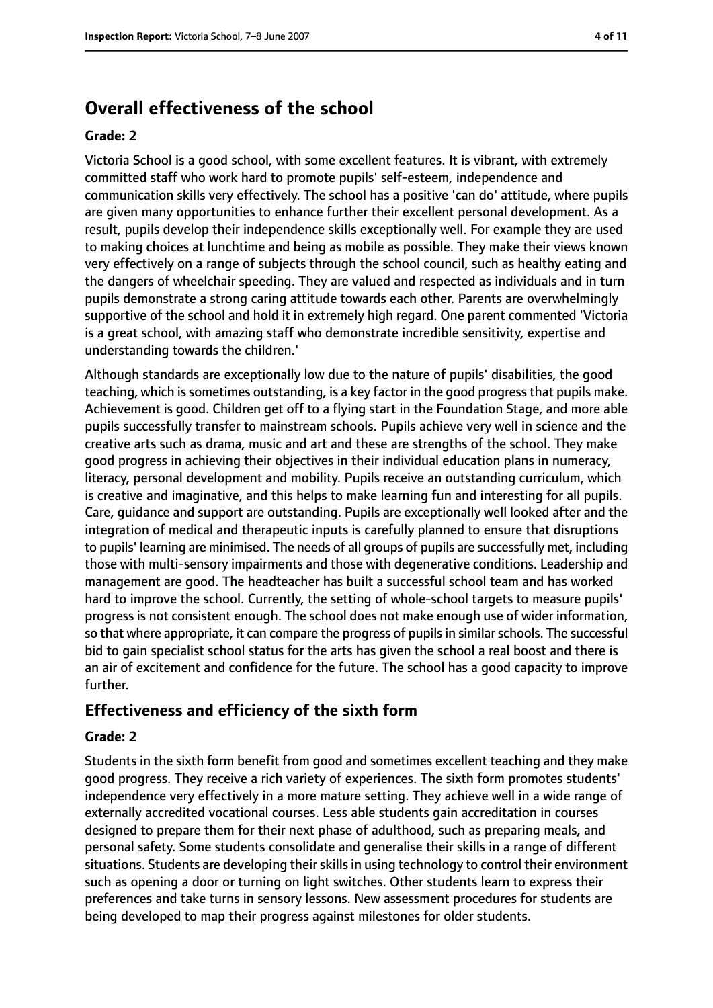# **Overall effectiveness of the school**

#### **Grade: 2**

Victoria School is a good school, with some excellent features. It is vibrant, with extremely committed staff who work hard to promote pupils' self-esteem, independence and communication skills very effectively. The school has a positive 'can do' attitude, where pupils are given many opportunities to enhance further their excellent personal development. As a result, pupils develop their independence skills exceptionally well. For example they are used to making choices at lunchtime and being as mobile as possible. They make their views known very effectively on a range of subjects through the school council, such as healthy eating and the dangers of wheelchair speeding. They are valued and respected as individuals and in turn pupils demonstrate a strong caring attitude towards each other. Parents are overwhelmingly supportive of the school and hold it in extremely high regard. One parent commented 'Victoria is a great school, with amazing staff who demonstrate incredible sensitivity, expertise and understanding towards the children.'

Although standards are exceptionally low due to the nature of pupils' disabilities, the good teaching, which is sometimes outstanding, is a key factor in the good progressthat pupils make. Achievement is good. Children get off to a flying start in the Foundation Stage, and more able pupils successfully transfer to mainstream schools. Pupils achieve very well in science and the creative arts such as drama, music and art and these are strengths of the school. They make good progress in achieving their objectives in their individual education plans in numeracy, literacy, personal development and mobility. Pupils receive an outstanding curriculum, which is creative and imaginative, and this helps to make learning fun and interesting for all pupils. Care, guidance and support are outstanding. Pupils are exceptionally well looked after and the integration of medical and therapeutic inputs is carefully planned to ensure that disruptions to pupils' learning are minimised. The needs of all groups of pupils are successfully met, including those with multi-sensory impairments and those with degenerative conditions. Leadership and management are good. The headteacher has built a successful school team and has worked hard to improve the school. Currently, the setting of whole-school targets to measure pupils' progress is not consistent enough. The school does not make enough use of wider information, so that where appropriate, it can compare the progress of pupils in similar schools. The successful bid to gain specialist school status for the arts has given the school a real boost and there is an air of excitement and confidence for the future. The school has a good capacity to improve further.

### **Effectiveness and efficiency of the sixth form**

#### **Grade: 2**

Students in the sixth form benefit from good and sometimes excellent teaching and they make good progress. They receive a rich variety of experiences. The sixth form promotes students' independence very effectively in a more mature setting. They achieve well in a wide range of externally accredited vocational courses. Less able students gain accreditation in courses designed to prepare them for their next phase of adulthood, such as preparing meals, and personal safety. Some students consolidate and generalise their skills in a range of different situations. Students are developing their skills in using technology to control their environment such as opening a door or turning on light switches. Other students learn to express their preferences and take turns in sensory lessons. New assessment procedures for students are being developed to map their progress against milestones for older students.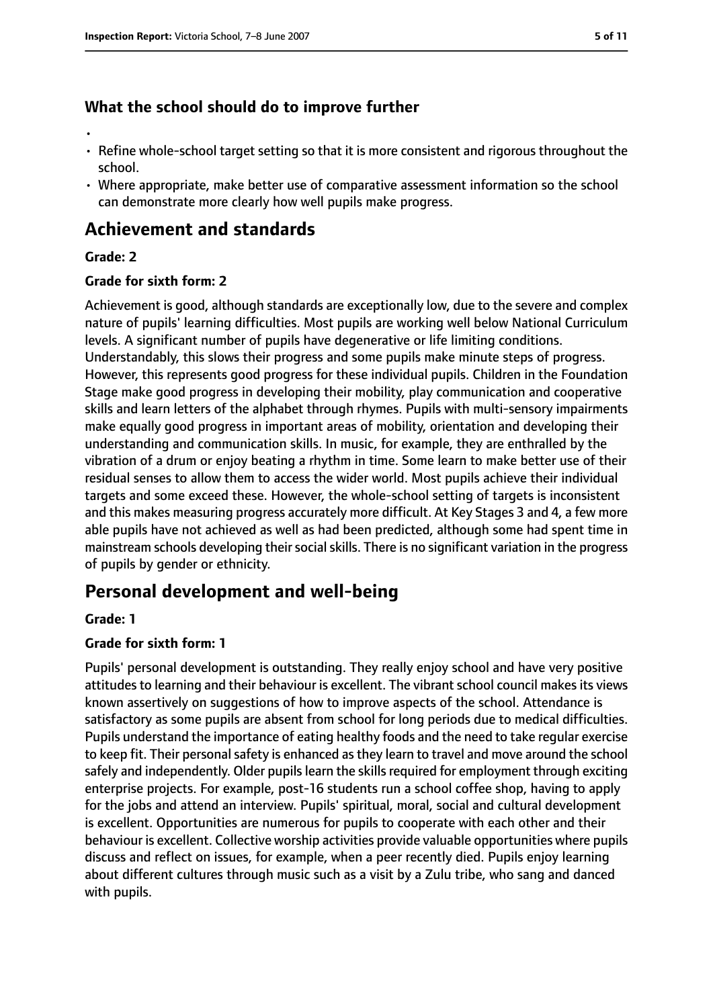## **What the school should do to improve further**

- •
- Refine whole-school target setting so that it is more consistent and rigorous throughout the school.
- Where appropriate, make better use of comparative assessment information so the school can demonstrate more clearly how well pupils make progress.

# **Achievement and standards**

#### **Grade: 2**

#### **Grade for sixth form: 2**

Achievement is good, although standards are exceptionally low, due to the severe and complex nature of pupils' learning difficulties. Most pupils are working well below National Curriculum levels. A significant number of pupils have degenerative or life limiting conditions. Understandably, this slows their progress and some pupils make minute steps of progress. However, this represents good progress for these individual pupils. Children in the Foundation Stage make good progress in developing their mobility, play communication and cooperative skills and learn letters of the alphabet through rhymes. Pupils with multi-sensory impairments make equally good progress in important areas of mobility, orientation and developing their understanding and communication skills. In music, for example, they are enthralled by the vibration of a drum or enjoy beating a rhythm in time. Some learn to make better use of their residual senses to allow them to access the wider world. Most pupils achieve their individual targets and some exceed these. However, the whole-school setting of targets is inconsistent and this makes measuring progress accurately more difficult. At Key Stages 3 and 4, a few more able pupils have not achieved as well as had been predicted, although some had spent time in mainstream schools developing their social skills. There is no significant variation in the progress of pupils by gender or ethnicity.

# **Personal development and well-being**

#### **Grade: 1**

### **Grade for sixth form: 1**

Pupils' personal development is outstanding. They really enjoy school and have very positive attitudes to learning and their behaviour is excellent. The vibrant school council makes its views known assertively on suggestions of how to improve aspects of the school. Attendance is satisfactory as some pupils are absent from school for long periods due to medical difficulties. Pupils understand the importance of eating healthy foods and the need to take regular exercise to keep fit. Their personal safety is enhanced as they learn to travel and move around the school safely and independently. Older pupils learn the skills required for employment through exciting enterprise projects. For example, post-16 students run a school coffee shop, having to apply for the jobs and attend an interview. Pupils' spiritual, moral, social and cultural development is excellent. Opportunities are numerous for pupils to cooperate with each other and their behaviour is excellent. Collective worship activities provide valuable opportunities where pupils discuss and reflect on issues, for example, when a peer recently died. Pupils enjoy learning about different cultures through music such as a visit by a Zulu tribe, who sang and danced with pupils.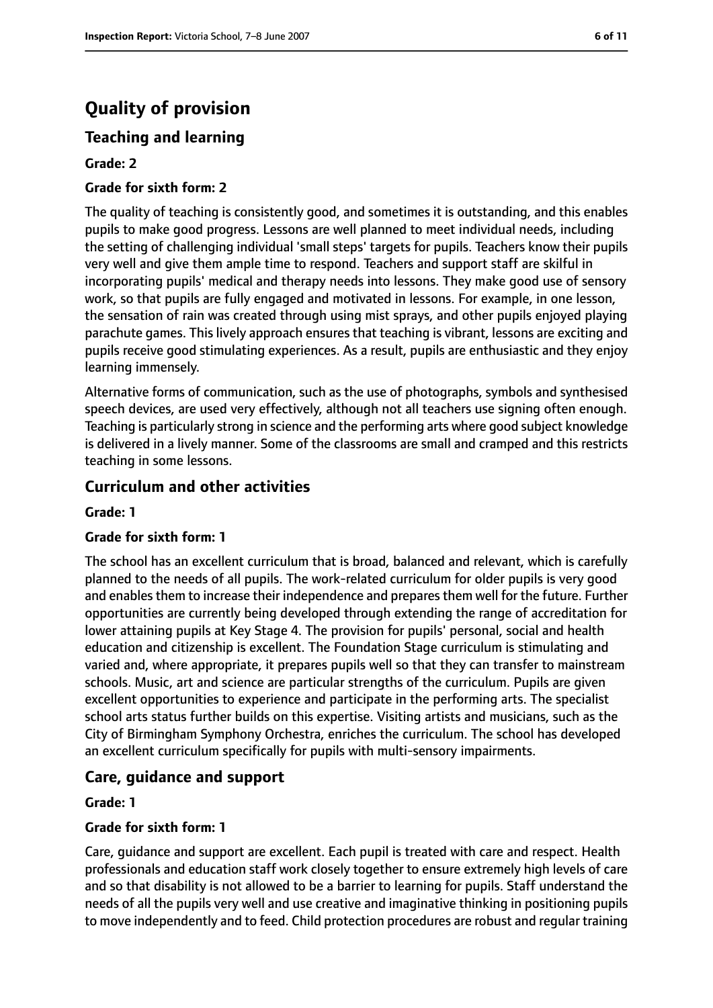# **Quality of provision**

## **Teaching and learning**

#### **Grade: 2**

#### **Grade for sixth form: 2**

The quality of teaching is consistently good, and sometimes it is outstanding, and this enables pupils to make good progress. Lessons are well planned to meet individual needs, including the setting of challenging individual 'small steps' targets for pupils. Teachers know their pupils very well and give them ample time to respond. Teachers and support staff are skilful in incorporating pupils' medical and therapy needs into lessons. They make good use of sensory work, so that pupils are fully engaged and motivated in lessons. For example, in one lesson, the sensation of rain was created through using mist sprays, and other pupils enjoyed playing parachute games. This lively approach ensures that teaching is vibrant, lessons are exciting and pupils receive good stimulating experiences. As a result, pupils are enthusiastic and they enjoy learning immensely.

Alternative forms of communication, such as the use of photographs, symbols and synthesised speech devices, are used very effectively, although not all teachers use signing often enough. Teaching is particularly strong in science and the performing arts where good subject knowledge is delivered in a lively manner. Some of the classrooms are small and cramped and this restricts teaching in some lessons.

#### **Curriculum and other activities**

#### **Grade: 1**

#### **Grade for sixth form: 1**

The school has an excellent curriculum that is broad, balanced and relevant, which is carefully planned to the needs of all pupils. The work-related curriculum for older pupils is very good and enables them to increase their independence and prepares them well for the future. Further opportunities are currently being developed through extending the range of accreditation for lower attaining pupils at Key Stage 4. The provision for pupils' personal, social and health education and citizenship is excellent. The Foundation Stage curriculum is stimulating and varied and, where appropriate, it prepares pupils well so that they can transfer to mainstream schools. Music, art and science are particular strengths of the curriculum. Pupils are given excellent opportunities to experience and participate in the performing arts. The specialist school arts status further builds on this expertise. Visiting artists and musicians, such as the City of Birmingham Symphony Orchestra, enriches the curriculum. The school has developed an excellent curriculum specifically for pupils with multi-sensory impairments.

### **Care, guidance and support**

#### **Grade: 1**

#### **Grade for sixth form: 1**

Care, guidance and support are excellent. Each pupil is treated with care and respect. Health professionals and education staff work closely together to ensure extremely high levels of care and so that disability is not allowed to be a barrier to learning for pupils. Staff understand the needs of all the pupils very well and use creative and imaginative thinking in positioning pupils to move independently and to feed. Child protection procedures are robust and regular training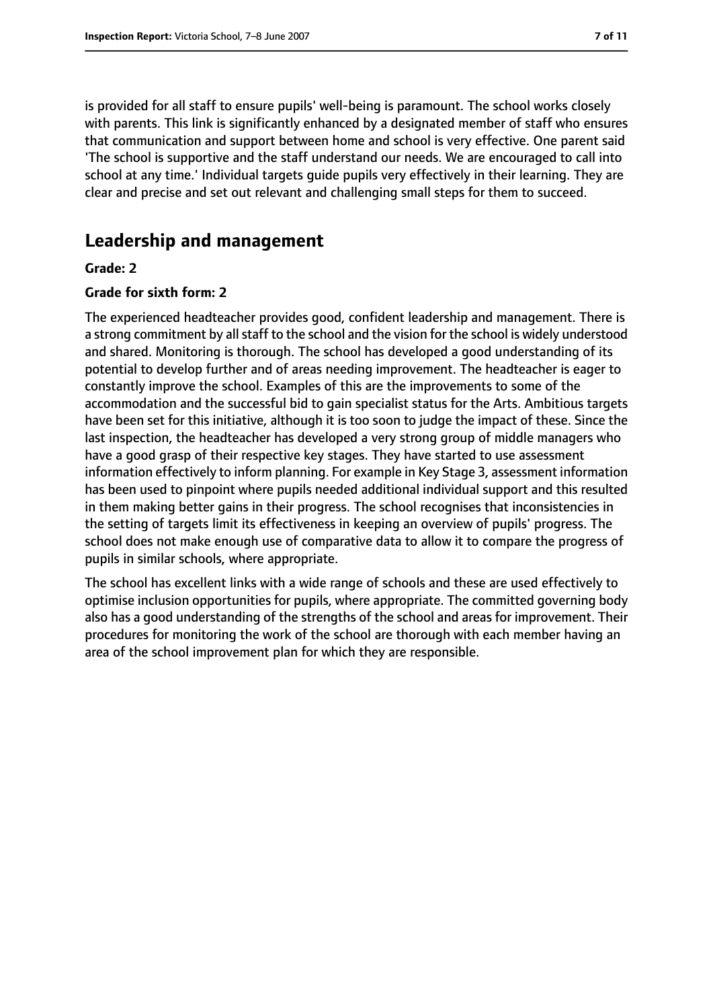is provided for all staff to ensure pupils' well-being is paramount. The school works closely with parents. This link is significantly enhanced by a designated member of staff who ensures that communication and support between home and school is very effective. One parent said 'The school is supportive and the staff understand our needs. We are encouraged to call into school at any time.' Individual targets guide pupils very effectively in their learning. They are clear and precise and set out relevant and challenging small steps for them to succeed.

# **Leadership and management**

#### **Grade: 2**

#### **Grade for sixth form: 2**

The experienced headteacher provides good, confident leadership and management. There is a strong commitment by all staff to the school and the vision for the school is widely understood and shared. Monitoring is thorough. The school has developed a good understanding of its potential to develop further and of areas needing improvement. The headteacher is eager to constantly improve the school. Examples of this are the improvements to some of the accommodation and the successful bid to gain specialist status for the Arts. Ambitious targets have been set for this initiative, although it is too soon to judge the impact of these. Since the last inspection, the headteacher has developed a very strong group of middle managers who have a good grasp of their respective key stages. They have started to use assessment information effectively to inform planning. For example in Key Stage 3, assessment information has been used to pinpoint where pupils needed additional individual support and this resulted in them making better gains in their progress. The school recognises that inconsistencies in the setting of targets limit its effectiveness in keeping an overview of pupils' progress. The school does not make enough use of comparative data to allow it to compare the progress of pupils in similar schools, where appropriate.

The school has excellent links with a wide range of schools and these are used effectively to optimise inclusion opportunities for pupils, where appropriate. The committed governing body also has a good understanding of the strengths of the school and areas for improvement. Their procedures for monitoring the work of the school are thorough with each member having an area of the school improvement plan for which they are responsible.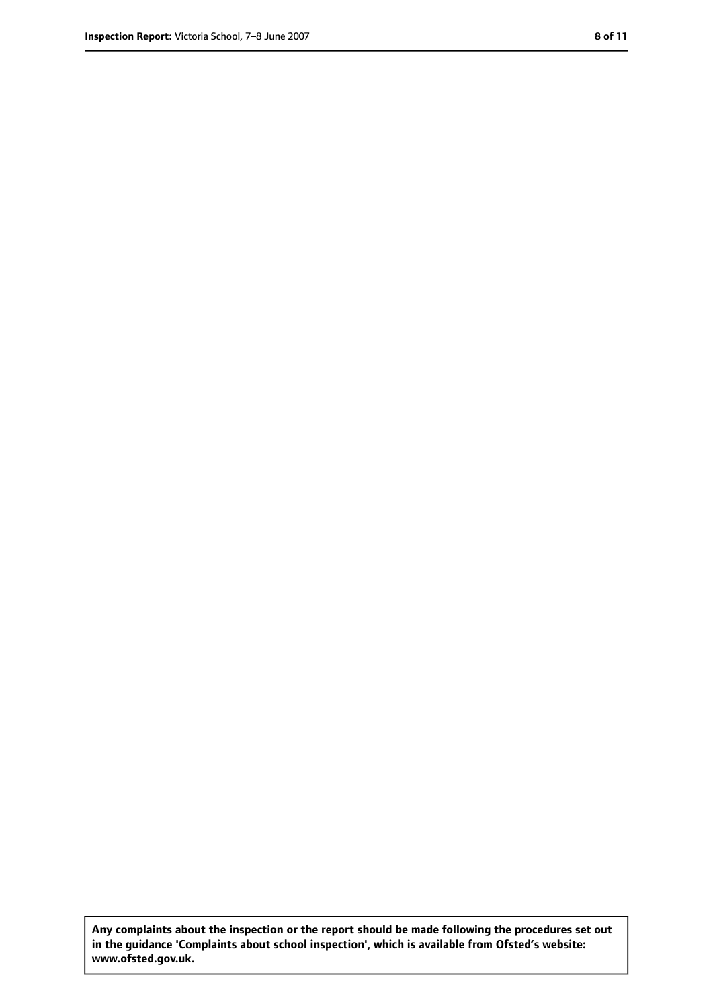**Any complaints about the inspection or the report should be made following the procedures set out in the guidance 'Complaints about school inspection', which is available from Ofsted's website: www.ofsted.gov.uk.**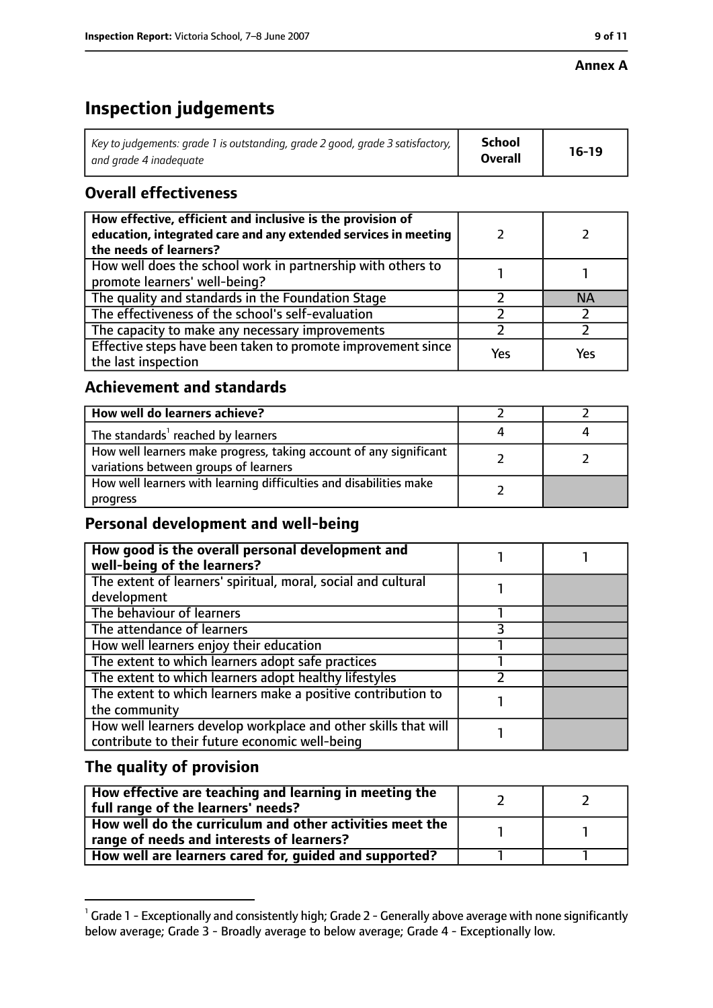# **Inspection judgements**

| Key to judgements: grade 1 is outstanding, grade 2 good, grade 3 satisfactory, $\vert$ | School         | $16-19$ |
|----------------------------------------------------------------------------------------|----------------|---------|
| and grade 4 inadeguate                                                                 | <b>Overall</b> |         |

# **Overall effectiveness**

| How effective, efficient and inclusive is the provision of<br>education, integrated care and any extended services in meeting<br>the needs of learners? |     |           |
|---------------------------------------------------------------------------------------------------------------------------------------------------------|-----|-----------|
| How well does the school work in partnership with others to<br>promote learners' well-being?                                                            |     |           |
| The quality and standards in the Foundation Stage                                                                                                       |     | <b>NA</b> |
| The effectiveness of the school's self-evaluation                                                                                                       |     |           |
| The capacity to make any necessary improvements                                                                                                         |     |           |
| Effective steps have been taken to promote improvement since<br>the last inspection                                                                     | Yes | Yes       |

# **Achievement and standards**

| How well do learners achieve?                                                                               |  |
|-------------------------------------------------------------------------------------------------------------|--|
| The standards <sup>1</sup> reached by learners                                                              |  |
| How well learners make progress, taking account of any significant<br>variations between groups of learners |  |
| How well learners with learning difficulties and disabilities make<br>progress                              |  |

### **Personal development and well-being**

| How good is the overall personal development and<br>well-being of the learners?                                  |  |
|------------------------------------------------------------------------------------------------------------------|--|
| The extent of learners' spiritual, moral, social and cultural<br>development                                     |  |
| The behaviour of learners                                                                                        |  |
| The attendance of learners                                                                                       |  |
| How well learners enjoy their education                                                                          |  |
| The extent to which learners adopt safe practices                                                                |  |
| The extent to which learners adopt healthy lifestyles                                                            |  |
| The extent to which learners make a positive contribution to<br>the community                                    |  |
| How well learners develop workplace and other skills that will<br>contribute to their future economic well-being |  |

## **The quality of provision**

| How effective are teaching and learning in meeting the<br>full range of the learners' needs?          |  |
|-------------------------------------------------------------------------------------------------------|--|
| How well do the curriculum and other activities meet the<br>range of needs and interests of learners? |  |
| How well are learners cared for, guided and supported?                                                |  |

 $^1$  Grade 1 - Exceptionally and consistently high; Grade 2 - Generally above average with none significantly below average; Grade 3 - Broadly average to below average; Grade 4 - Exceptionally low.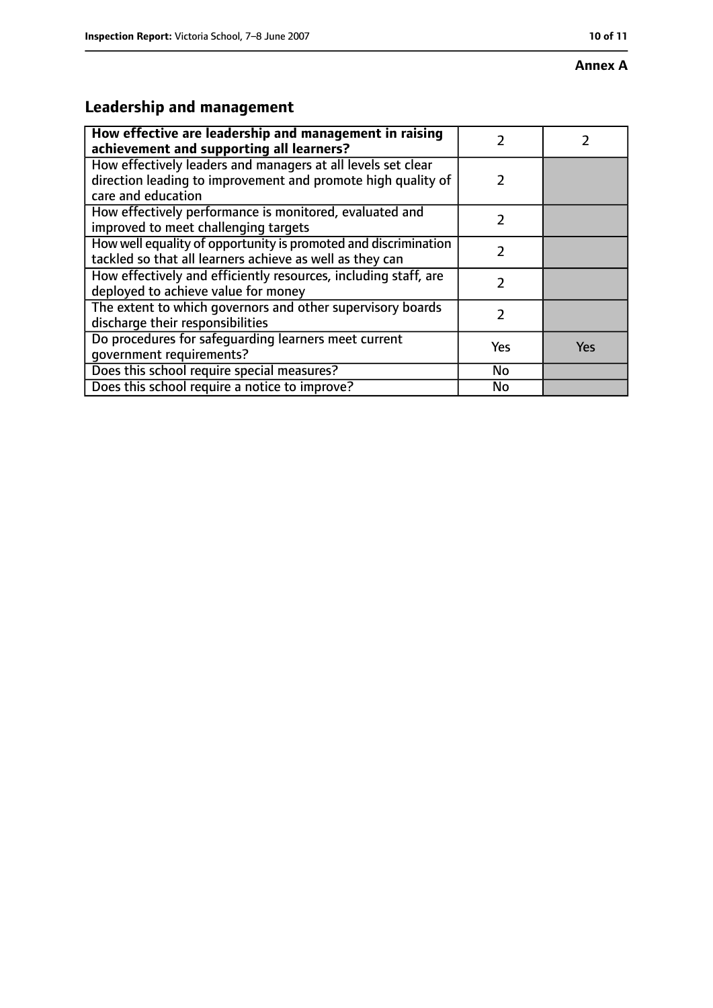#### **Annex A**

# **Leadership and management**

| How effective are leadership and management in raising<br>achievement and supporting all learners?                                                 |               |     |
|----------------------------------------------------------------------------------------------------------------------------------------------------|---------------|-----|
| How effectively leaders and managers at all levels set clear<br>direction leading to improvement and promote high quality of<br>care and education | $\mathcal{P}$ |     |
| How effectively performance is monitored, evaluated and<br>improved to meet challenging targets                                                    | フ             |     |
| How well equality of opportunity is promoted and discrimination<br>tackled so that all learners achieve as well as they can                        | フ             |     |
| How effectively and efficiently resources, including staff, are<br>deployed to achieve value for money                                             | 7             |     |
| The extent to which governors and other supervisory boards<br>discharge their responsibilities                                                     | 2             |     |
| Do procedures for safeguarding learners meet current<br>qovernment requirements?                                                                   | Yes           | Yes |
| Does this school require special measures?                                                                                                         | No            |     |
| Does this school require a notice to improve?                                                                                                      | <b>No</b>     |     |